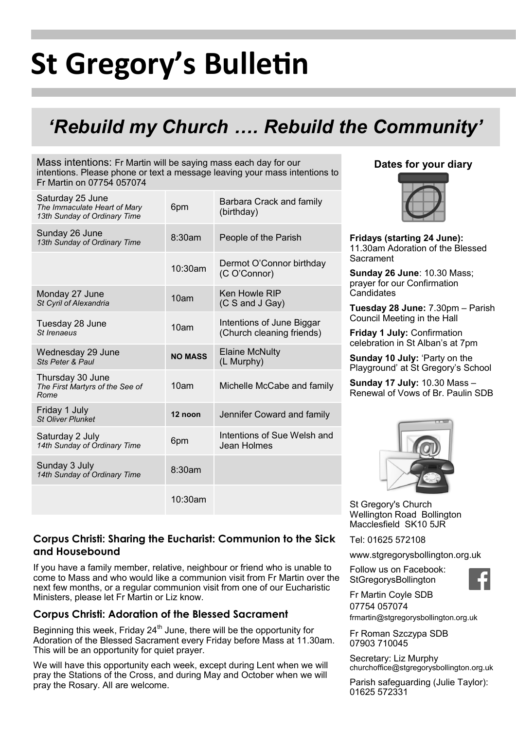# **St Gregory's Bulletin**

# *'Rebuild my Church …. Rebuild the Community'*

Mass intentions: Fr Martin will be saying mass each day for our intentions. Please phone or text a message leaving your mass intentions to Fr Martin on 07754 057074

| Saturday 25 June<br>The Immaculate Heart of Mary<br>13th Sunday of Ordinary Time | 6pm              | Barbara Crack and family<br>(birthday)                 |
|----------------------------------------------------------------------------------|------------------|--------------------------------------------------------|
| Sunday 26 June<br>13th Sunday of Ordinary Time                                   | 8:30am           | People of the Parish                                   |
|                                                                                  | 10:30am          | Dermot O'Connor birthday<br>(C O'Connor)               |
| Monday 27 June<br>St Cyril of Alexandria                                         | 10 <sub>am</sub> | Ken Howle RIP<br>(C S and J Gay)                       |
| Tuesday 28 June<br>St Irenaeus                                                   | 10am             | Intentions of June Biggar<br>(Church cleaning friends) |
| Wednesday 29 June<br>Sts Peter & Paul                                            | <b>NO MASS</b>   | <b>Elaine McNulty</b><br>(L Murphy)                    |
| Thursday 30 June<br>The First Martyrs of the See of<br>Rome                      | 10 <sub>am</sub> | Michelle McCabe and family                             |
| Friday 1 July<br><b>St Oliver Plunket</b>                                        | 12 noon          | Jennifer Coward and family                             |
| Saturday 2 July<br>14th Sunday of Ordinary Time                                  | 6pm              | Intentions of Sue Welsh and<br>Jean Holmes             |
| Sunday 3 July<br>14th Sunday of Ordinary Time                                    | 8:30am           |                                                        |
|                                                                                  | 10:30am          |                                                        |

## **Dates for your diary**



**Fridays (starting 24 June):** 11.30am Adoration of the Blessed Sacrament

**Sunday 26 June**: 10.30 Mass; prayer for our Confirmation **Candidates** 

**Tuesday 28 June:** 7.30pm – Parish Council Meeting in the Hall

**Friday 1 July:** Confirmation celebration in St Alban's at 7pm

**Sunday 10 July:** 'Party on the Playground' at St Gregory's School

**Sunday 17 July:** 10.30 Mass – Renewal of Vows of Br. Paulin SDB



St Gregory's Church Wellington Road Bollington Macclesfield SK10 5JR

Tel: 01625 572108

www.stgregorysbollington.org.uk

If you have a family member, relative, neighbour or friend who is unable to come to Mass and who would like a communion visit from Fr Martin over the next few months, or a regular communion visit from one of our Eucharistic Ministers, please let Fr Martin or Liz know.

# **Corpus Christi: Adoration of the Blessed Sacrament**

**and Housebound**

Beginning this week, Friday  $24<sup>th</sup>$  June, there will be the opportunity for Adoration of the Blessed Sacrament every Friday before Mass at 11.30am. This will be an opportunity for quiet prayer.

**Corpus Christi: Sharing the Eucharist: Communion to the Sick** 

We will have this opportunity each week, except during Lent when we will pray the Stations of the Cross, and during May and October when we will pray the Rosary. All are welcome.

Follow us on Facebook: **StGregorysBollington** 



Fr Martin Coyle SDB 07754 057074 frmartin@stgregorysbollington.org.uk

Fr Roman Szczypa SDB 07903 710045

Secretary: Liz Murphy churchoffice@stgregorysbollington.org.uk

Parish safeguarding (Julie Taylor): 01625 572331